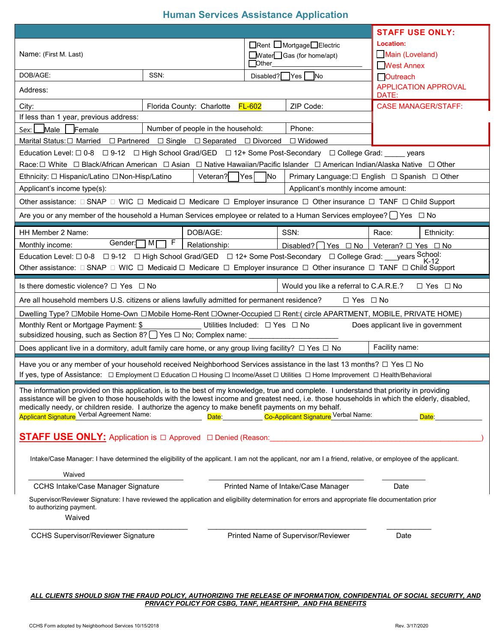## **Human Services Assistance Application**

|                                                                                                                                                             |                                                                                                                                                                                                                                                                                                                                                                                                                                                                                                                                                                                                                                            |                                          |               |                                                                           | <b>STAFF USE ONLY:</b>            |            |  |
|-------------------------------------------------------------------------------------------------------------------------------------------------------------|--------------------------------------------------------------------------------------------------------------------------------------------------------------------------------------------------------------------------------------------------------------------------------------------------------------------------------------------------------------------------------------------------------------------------------------------------------------------------------------------------------------------------------------------------------------------------------------------------------------------------------------------|------------------------------------------|---------------|---------------------------------------------------------------------------|-----------------------------------|------------|--|
|                                                                                                                                                             |                                                                                                                                                                                                                                                                                                                                                                                                                                                                                                                                                                                                                                            |                                          |               |                                                                           | <b>Location:</b>                  |            |  |
| Name: (First M. Last)                                                                                                                                       |                                                                                                                                                                                                                                                                                                                                                                                                                                                                                                                                                                                                                                            |                                          |               | <b>□Rent</b> □Mortgage□Electric<br>$\Box$ Water $\Box$ Gas (for home/apt) | Main (Loveland)                   |            |  |
|                                                                                                                                                             |                                                                                                                                                                                                                                                                                                                                                                                                                                                                                                                                                                                                                                            |                                          | $\Box$ Other  |                                                                           | <b>West Annex</b>                 |            |  |
| DOB/AGE:                                                                                                                                                    | SSN:                                                                                                                                                                                                                                                                                                                                                                                                                                                                                                                                                                                                                                       |                                          | Disabled? Yes | <b>No</b>                                                                 | Outreach                          |            |  |
| Address:                                                                                                                                                    |                                                                                                                                                                                                                                                                                                                                                                                                                                                                                                                                                                                                                                            |                                          | DATE:         | <b>APPLICATION APPROVAL</b>                                               |                                   |            |  |
| City:                                                                                                                                                       |                                                                                                                                                                                                                                                                                                                                                                                                                                                                                                                                                                                                                                            | Florida County: Charlotte FL-602         |               | ZIP Code:                                                                 | <b>CASE MANAGER/STAFF:</b>        |            |  |
| If less than 1 year, previous address:                                                                                                                      |                                                                                                                                                                                                                                                                                                                                                                                                                                                                                                                                                                                                                                            |                                          |               |                                                                           |                                   |            |  |
| <b>M</b> ale<br>Female<br>Sex: I                                                                                                                            |                                                                                                                                                                                                                                                                                                                                                                                                                                                                                                                                                                                                                                            | Number of people in the household:       |               | Phone:                                                                    |                                   |            |  |
| Marital Status: □ Married □ Partnered □ Single □ Separated □ Divorced □ Widowed                                                                             |                                                                                                                                                                                                                                                                                                                                                                                                                                                                                                                                                                                                                                            |                                          |               |                                                                           |                                   |            |  |
| Education Level: □ 0-8 □ 9-12 □ High School Grad/GED □ 12+ Some Post-Secondary □ College Grad: _____ years                                                  |                                                                                                                                                                                                                                                                                                                                                                                                                                                                                                                                                                                                                                            |                                          |               |                                                                           |                                   |            |  |
| Race: □ White □ Black/African American □ Asian □ Native Hawaiian/Pacific Islander □ American Indian/Alaska Native □ Other                                   |                                                                                                                                                                                                                                                                                                                                                                                                                                                                                                                                                                                                                                            |                                          |               |                                                                           |                                   |            |  |
| Ethnicity: □ Hispanic/Latino □ Non-Hisp/Latino                                                                                                              |                                                                                                                                                                                                                                                                                                                                                                                                                                                                                                                                                                                                                                            | Veteran?                                 | No<br> Yes    |                                                                           |                                   |            |  |
| Applicant's income type(s):                                                                                                                                 |                                                                                                                                                                                                                                                                                                                                                                                                                                                                                                                                                                                                                                            |                                          |               | Applicant's monthly income amount:                                        |                                   |            |  |
|                                                                                                                                                             |                                                                                                                                                                                                                                                                                                                                                                                                                                                                                                                                                                                                                                            |                                          |               |                                                                           |                                   |            |  |
| Are you or any member of the household a Human Services employee or related to a Human Services employee? [2] Yes □ No                                      |                                                                                                                                                                                                                                                                                                                                                                                                                                                                                                                                                                                                                                            |                                          |               |                                                                           |                                   |            |  |
| HH Member 2 Name:                                                                                                                                           |                                                                                                                                                                                                                                                                                                                                                                                                                                                                                                                                                                                                                                            | DOB/AGE:                                 |               | SSN:                                                                      | Race:                             | Ethnicity: |  |
| Gender:<br>Monthly income:                                                                                                                                  | $\mathsf{F}$<br>Мſ                                                                                                                                                                                                                                                                                                                                                                                                                                                                                                                                                                                                                         | Relationship:                            |               | Disabled? $\bigcap$ Yes $\Box$ No                                         | Veteran? $\Box$ Yes $\Box$ No     |            |  |
| Education Level: 0 0-8 0 9-12 0 High School Grad/GED 0 12+ Some Post-Secondary 0 College Grad: vears School:                                                |                                                                                                                                                                                                                                                                                                                                                                                                                                                                                                                                                                                                                                            |                                          |               |                                                                           |                                   |            |  |
| Other assistance:  □ SNAP □ WIC □ Medicaid □ Medicare □ Employer insurance □ Other insurance □ TANF □ Child Support                                         |                                                                                                                                                                                                                                                                                                                                                                                                                                                                                                                                                                                                                                            |                                          |               |                                                                           |                                   | K-12       |  |
| Is there domestic violence? $\Box$ Yes $\Box$ No                                                                                                            |                                                                                                                                                                                                                                                                                                                                                                                                                                                                                                                                                                                                                                            |                                          |               | Would you like a referral to C.A.R.E.?                                    |                                   | □ Yes □ No |  |
| Are all household members U.S. citizens or aliens lawfully admitted for permanent residence?                                                                |                                                                                                                                                                                                                                                                                                                                                                                                                                                                                                                                                                                                                                            |                                          |               | $\Box$ Yes $\Box$ No                                                      |                                   |            |  |
| Dwelling Type? □Mobile Home-Own □Mobile Home-Rent □Owner-Occupied □ Rent:( circle APARTMENT, MOBILE, PRIVATE HOME)                                          |                                                                                                                                                                                                                                                                                                                                                                                                                                                                                                                                                                                                                                            |                                          |               |                                                                           |                                   |            |  |
| Monthly Rent or Mortgage Payment: \$<br>subsidized housing, such as Section 8? [D] Yes □ No; Complex name:                                                  |                                                                                                                                                                                                                                                                                                                                                                                                                                                                                                                                                                                                                                            | Utilities Included: $\Box$ Yes $\Box$ No |               |                                                                           | Does applicant live in government |            |  |
| Does applicant live in a dormitory, adult family care home, or any group living facility? $\Box$ Yes $\Box$ No                                              |                                                                                                                                                                                                                                                                                                                                                                                                                                                                                                                                                                                                                                            |                                          |               |                                                                           | Facility name:                    |            |  |
| Have you or any member of your household received Neighborhood Services assistance in the last 13 months? $\Box$ Yes $\Box$ No                              |                                                                                                                                                                                                                                                                                                                                                                                                                                                                                                                                                                                                                                            |                                          |               |                                                                           |                                   |            |  |
|                                                                                                                                                             |                                                                                                                                                                                                                                                                                                                                                                                                                                                                                                                                                                                                                                            |                                          |               |                                                                           |                                   |            |  |
|                                                                                                                                                             | If yes, type of Assistance:  □ Employment □ Education □ Housing □ Income/Asset □ Utilities □ Home Improvement □ Health/Behavioral<br>The information provided on this application, is to the best of my knowledge, true and complete. I understand that priority in providing<br>assistance will be given to those households with the lowest income and greatest need, i.e. those households in which the elderly, disabled,<br>medically needy, or children reside. I authorize the agency to make benefit payments on my behalf.<br>Applicant Signature Verbal Agreement Name:<br>Co-Applicant Signature Verbal Name:<br>Date:<br>Date: |                                          |               |                                                                           |                                   |            |  |
| <b>STAFF USE ONLY:</b> Application is □ Approved □ Denied (Reason: <u>Contract of the contract of the second</u>                                            |                                                                                                                                                                                                                                                                                                                                                                                                                                                                                                                                                                                                                                            |                                          |               |                                                                           |                                   |            |  |
| Intake/Case Manager: I have determined the eligibility of the applicant. I am not the applicant, nor am I a friend, relative, or employee of the applicant. |                                                                                                                                                                                                                                                                                                                                                                                                                                                                                                                                                                                                                                            |                                          |               |                                                                           |                                   |            |  |
| Waived                                                                                                                                                      |                                                                                                                                                                                                                                                                                                                                                                                                                                                                                                                                                                                                                                            |                                          |               |                                                                           |                                   |            |  |
| <b>CCHS Intake/Case Manager Signature</b>                                                                                                                   |                                                                                                                                                                                                                                                                                                                                                                                                                                                                                                                                                                                                                                            |                                          |               | Printed Name of Intake/Case Manager                                       | Date                              |            |  |
| Supervisor/Reviewer Signature: I have reviewed the application and eligibility determination for errors and appropriate file documentation prior            |                                                                                                                                                                                                                                                                                                                                                                                                                                                                                                                                                                                                                                            |                                          |               |                                                                           |                                   |            |  |
| to authorizing payment.<br>Waived                                                                                                                           |                                                                                                                                                                                                                                                                                                                                                                                                                                                                                                                                                                                                                                            |                                          |               |                                                                           |                                   |            |  |
|                                                                                                                                                             |                                                                                                                                                                                                                                                                                                                                                                                                                                                                                                                                                                                                                                            |                                          |               |                                                                           |                                   |            |  |
| <b>CCHS Supervisor/Reviewer Signature</b>                                                                                                                   |                                                                                                                                                                                                                                                                                                                                                                                                                                                                                                                                                                                                                                            |                                          |               | Printed Name of Supervisor/Reviewer                                       | Date                              |            |  |
|                                                                                                                                                             |                                                                                                                                                                                                                                                                                                                                                                                                                                                                                                                                                                                                                                            |                                          |               |                                                                           |                                   |            |  |

*ALL CLIENTS SHOULD SIGN THE FRAUD POLICY, AUTHORIZING THE RELEASE OF INFORMATION, CONFIDENTIAL OF SOCIAL SECURITY, AND PRIVACY POLICY FOR CSBG, TANF, HEARTSHIP, AND FHA BENEFITS*